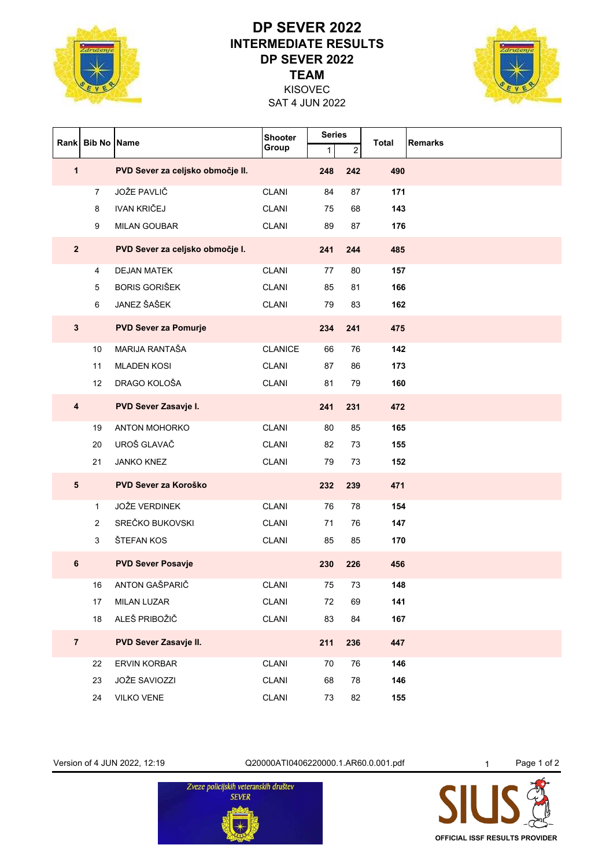

## **TEAM DP SEVER 2022 INTERMEDIATE RESULTS DP SEVER 2022**



SAT 4 JUN 2022 KISOVEC

| Rank                    | <b>Bib No</b>   | <b>Name</b>                      | <b>Shooter</b> | <b>Series</b> |            | <b>Total</b> | <b>Remarks</b> |
|-------------------------|-----------------|----------------------------------|----------------|---------------|------------|--------------|----------------|
|                         |                 |                                  | Group          | $\mathbf{1}$  | $\sqrt{2}$ |              |                |
| $\mathbf{1}$            |                 | PVD Sever za celjsko območje II. |                | 248           | 242        | 490          |                |
|                         | 7               | <b>JOŽE PAVLIČ</b>               | <b>CLANI</b>   | 84            | 87         | 171          |                |
|                         | 8               | <b>IVAN KRIČEJ</b>               | <b>CLANI</b>   | 75            | 68         | 143          |                |
|                         | 9               | <b>MILAN GOUBAR</b>              | <b>CLANI</b>   | 89            | 87         | 176          |                |
| $\overline{\mathbf{2}}$ |                 | PVD Sever za celjsko območje I.  |                | 241           | 244        | 485          |                |
|                         | 4               | <b>DEJAN MATEK</b>               | <b>CLANI</b>   | 77            | 80         | 157          |                |
|                         | 5               | <b>BORIS GORIŠEK</b>             | <b>CLANI</b>   | 85            | 81         | 166          |                |
|                         | 6               | JANEZ ŠAŠEK                      | <b>CLANI</b>   | 79            | 83         | 162          |                |
| $\mathbf{3}$            |                 | <b>PVD Sever za Pomurje</b>      |                | 234           | 241        | 475          |                |
|                         | 10 <sup>°</sup> | MARIJA RANTAŠA                   | <b>CLANICE</b> | 66            | 76         | 142          |                |
|                         | 11              | <b>MLADEN KOSI</b>               | <b>CLANI</b>   | 87            | 86         | 173          |                |
|                         | 12              | DRAGO KOLOŠA                     | <b>CLANI</b>   | 81            | 79         | 160          |                |
| $\overline{\mathbf{4}}$ |                 | PVD Sever Zasavje I.             |                | 241           | 231        | 472          |                |
|                         | 19              | <b>ANTON MOHORKO</b>             | <b>CLANI</b>   | 80            | 85         | 165          |                |
|                         | 20              | UROŠ GLAVAČ                      | <b>CLANI</b>   | 82            | 73         | 155          |                |
|                         | 21              | <b>JANKO KNEZ</b>                | <b>CLANI</b>   | 79            | 73         | 152          |                |
| $5\phantom{.0}$         |                 | PVD Sever za Koroško             |                | 232           | 239        | 471          |                |
|                         | $\mathbf{1}$    | <b>JOŽE VERDINEK</b>             | <b>CLANI</b>   | 76            | 78         | 154          |                |
|                         | $\overline{2}$  | SREČKO BUKOVSKI                  | <b>CLANI</b>   | 71            | 76         | 147          |                |
|                         | 3               | ŠTEFAN KOS                       | <b>CLANI</b>   | 85            | 85         | 170          |                |
| 6                       |                 | <b>PVD Sever Posavje</b>         |                | 230           | 226        | 456          |                |
|                         | 16              | ANTON GAŠPARIČ                   | <b>CLANI</b>   | 75            | 73         | 148          |                |
|                         | 17              | MILAN LUZAR                      | CLANI          | 72            | 69         | 141          |                |
|                         | 18              | ALEŠ PRIBOŽIČ                    | <b>CLANI</b>   | 83            | 84         | 167          |                |
| $\overline{7}$          |                 | PVD Sever Zasavje II.            |                | 211           | 236        | 447          |                |
|                         | 22              | ERVIN KORBAR                     | <b>CLANI</b>   | 70            | 76         | 146          |                |
|                         | 23              | JOŽE SAVIOZZI                    | <b>CLANI</b>   | 68            | 78         | 146          |                |
|                         | 24              | VILKO VENE                       | <b>CLANI</b>   | 73            | 82         | 155          |                |

Version of 4 JUN 2022, 12:19 <br>
Q20000ATI0406220000.1.AR60.0.001.pdf 1 Page 1 of 2